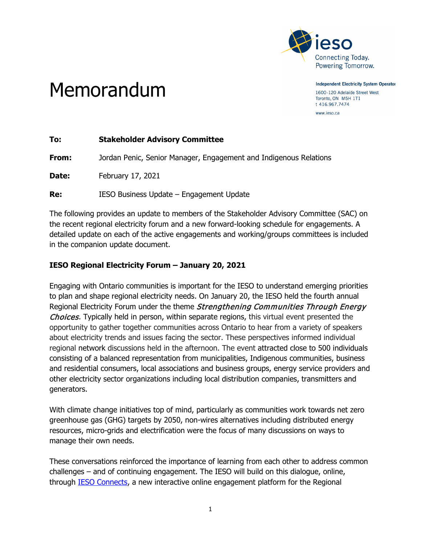

**Independent Electricity System Operator** 

1600-120 Adelaide Street West Toronto, ON M5H 1T1 t 416.967.7474 www.ieso.ca

# Memorandum

| <b>Stakeholder Advisory Committee</b>                             |
|-------------------------------------------------------------------|
| Jordan Penic, Senior Manager, Engagement and Indigenous Relations |
| February 17, 2021                                                 |
| IESO Business Update - Engagement Update                          |
|                                                                   |

The following provides an update to members of the Stakeholder Advisory Committee (SAC) on the recent regional electricity forum and a new forward-looking schedule for engagements. A detailed update on each of the active engagements and working/groups committees is included in the companion update document.

## **IESO Regional Electricity Forum – January 20, 2021**

Engaging with Ontario communities is important for the IESO to understand emerging priorities to plan and shape regional electricity needs. On January 20, the IESO held the fourth annual Regional Electricity Forum under the theme Strengthening Communities Through Energy Choices. Typically held in person, within separate regions, this virtual event presented the opportunity to gather together communities across Ontario to hear from a variety of speakers about electricity trends and issues facing the sector. These perspectives informed individual regional network discussions held in the afternoon. The event attracted close to 500 individuals consisting of a balanced representation from municipalities, Indigenous communities, business and residential consumers, local associations and business groups, energy service providers and other electricity sector organizations including local distribution companies, transmitters and generators.

With climate change initiatives top of mind, particularly as communities work towards net zero greenhouse gas (GHG) targets by 2050, non-wires alternatives including distributed energy resources, micro-grids and electrification were the focus of many discussions on ways to manage their own needs.

These conversations reinforced the importance of learning from each other to address common challenges – and of continuing engagement. The IESO will build on this dialogue, online, through [IESO Connects,](https://iesoconnects.ca/) a new interactive online engagement platform for the Regional